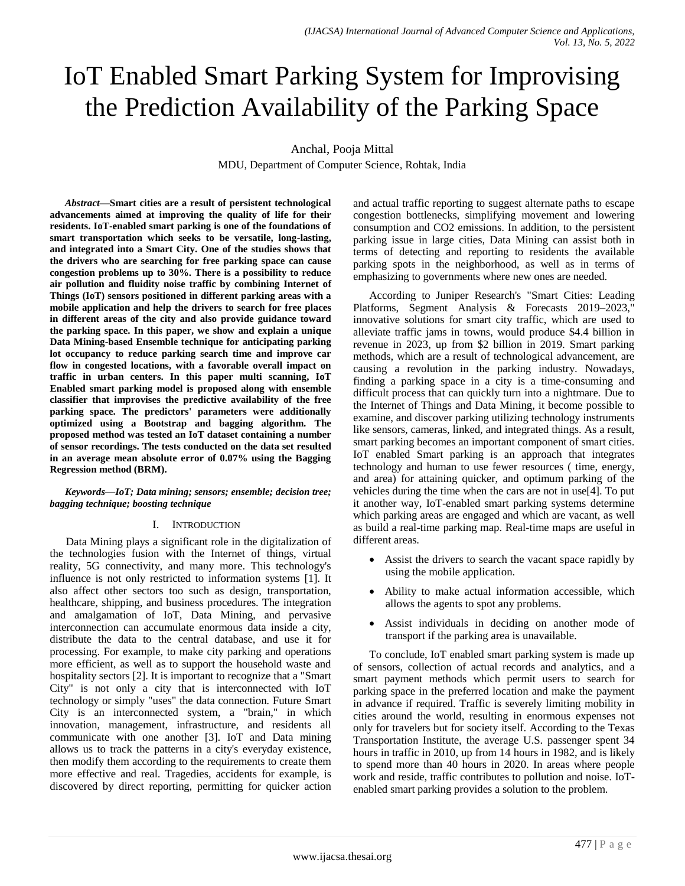# IoT Enabled Smart Parking System for Improvising the Prediction Availability of the Parking Space

Anchal, Pooja Mittal

MDU, Department of Computer Science, Rohtak, India

*Abstract***—Smart cities are a result of persistent technological advancements aimed at improving the quality of life for their residents. IoT-enabled smart parking is one of the foundations of smart transportation which seeks to be versatile, long-lasting, and integrated into a Smart City. One of the studies shows that the drivers who are searching for free parking space can cause congestion problems up to 30%. There is a possibility to reduce air pollution and fluidity noise traffic by combining Internet of Things (IoT) sensors positioned in different parking areas with a mobile application and help the drivers to search for free places in different areas of the city and also provide guidance toward the parking space. In this paper, we show and explain a unique Data Mining-based Ensemble technique for anticipating parking lot occupancy to reduce parking search time and improve car flow in congested locations, with a favorable overall impact on traffic in urban centers. In this paper multi scanning, IoT Enabled smart parking model is proposed along with ensemble classifier that improvises the predictive availability of the free parking space. The predictors' parameters were additionally optimized using a Bootstrap and bagging algorithm. The proposed method was tested an IoT dataset containing a number of sensor recordings. The tests conducted on the data set resulted in an average mean absolute error of 0.07% using the Bagging Regression method (BRM).**

*Keywords—IoT; Data mining; sensors; ensemble; decision tree; bagging technique; boosting technique*

# I. INTRODUCTION

Data Mining plays a significant role in the digitalization of the technologies fusion with the Internet of things, virtual reality, 5G connectivity, and many more. This technology's influence is not only restricted to information systems [1]. It also affect other sectors too such as design, transportation, healthcare, shipping, and business procedures. The integration and amalgamation of IoT, Data Mining, and pervasive interconnection can accumulate enormous data inside a city, distribute the data to the central database, and use it for processing. For example, to make city parking and operations more efficient, as well as to support the household waste and hospitality sectors [2]. It is important to recognize that a "Smart City" is not only a city that is interconnected with IoT technology or simply "uses" the data connection. Future Smart City is an interconnected system, a "brain," in which innovation, management, infrastructure, and residents all communicate with one another [3]. IoT and Data mining allows us to track the patterns in a city's everyday existence, then modify them according to the requirements to create them more effective and real. Tragedies, accidents for example, is discovered by direct reporting, permitting for quicker action and actual traffic reporting to suggest alternate paths to escape congestion bottlenecks, simplifying movement and lowering consumption and CO2 emissions. In addition, to the persistent parking issue in large cities, Data Mining can assist both in terms of detecting and reporting to residents the available parking spots in the neighborhood, as well as in terms of emphasizing to governments where new ones are needed.

According to Juniper Research's "Smart Cities: Leading Platforms, Segment Analysis & Forecasts 2019–2023, innovative solutions for smart city traffic, which are used to alleviate traffic jams in towns, would produce \$4.4 billion in revenue in 2023, up from \$2 billion in 2019. Smart parking methods, which are a result of technological advancement, are causing a revolution in the parking industry. Nowadays, finding a parking space in a city is a time-consuming and difficult process that can quickly turn into a nightmare. Due to the Internet of Things and Data Mining, it become possible to examine, and discover parking utilizing technology instruments like sensors, cameras, linked, and integrated things. As a result, smart parking becomes an important component of smart cities. IoT enabled Smart parking is an approach that integrates technology and human to use fewer resources ( time, energy, and area) for attaining quicker, and optimum parking of the vehicles during the time when the cars are not in use[4]. To put it another way, IoT-enabled smart parking systems determine which parking areas are engaged and which are vacant, as well as build a real-time parking map. Real-time maps are useful in different areas.

- Assist the drivers to search the vacant space rapidly by using the mobile application.
- Ability to make actual information accessible, which allows the agents to spot any problems.
- Assist individuals in deciding on another mode of transport if the parking area is unavailable.

To conclude, IoT enabled smart parking system is made up of sensors, collection of actual records and analytics, and a smart payment methods which permit users to search for parking space in the preferred location and make the payment in advance if required. Traffic is severely limiting mobility in cities around the world, resulting in enormous expenses not only for travelers but for society itself. According to the Texas Transportation Institute, the average U.S. passenger spent 34 hours in traffic in 2010, up from 14 hours in 1982, and is likely to spend more than 40 hours in 2020. In areas where people work and reside, traffic contributes to pollution and noise. IoTenabled smart parking provides a solution to the problem.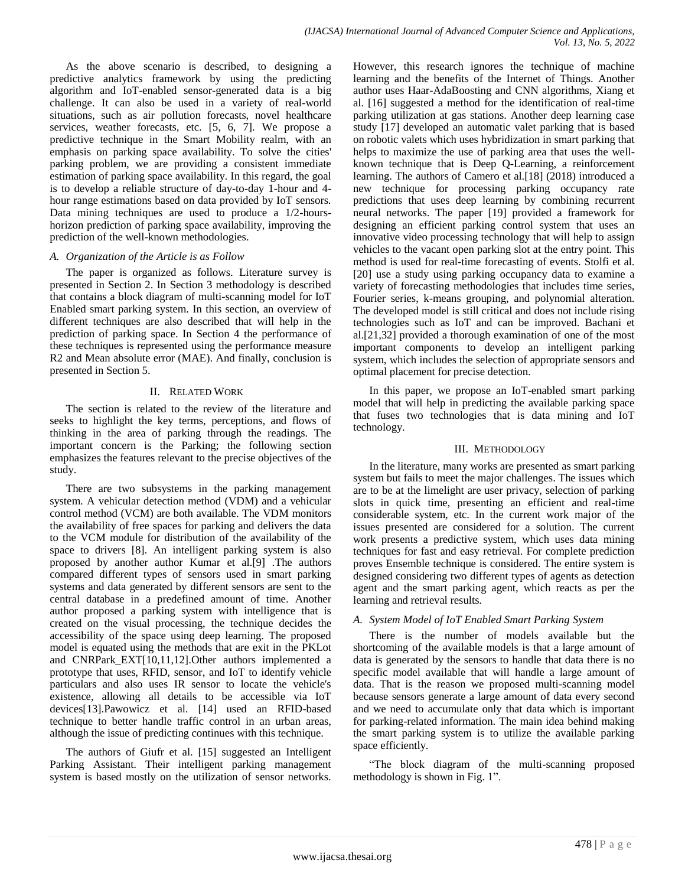As the above scenario is described, to designing a predictive analytics framework by using the predicting algorithm and IoT-enabled sensor-generated data is a big challenge. It can also be used in a variety of real-world situations, such as air pollution forecasts, novel healthcare services, weather forecasts, etc. [5, 6, 7]. We propose a predictive technique in the Smart Mobility realm, with an emphasis on parking space availability. To solve the cities' parking problem, we are providing a consistent immediate estimation of parking space availability. In this regard, the goal is to develop a reliable structure of day-to-day 1-hour and 4 hour range estimations based on data provided by IoT sensors. Data mining techniques are used to produce a 1/2-hourshorizon prediction of parking space availability, improving the prediction of the well-known methodologies.

# *A. Organization of the Article is as Follow*

The paper is organized as follows. Literature survey is presented in Section 2. In Section 3 methodology is described that contains a block diagram of multi-scanning model for IoT Enabled smart parking system. In this section, an overview of different techniques are also described that will help in the prediction of parking space. In Section 4 the performance of these techniques is represented using the performance measure R2 and Mean absolute error (MAE). And finally, conclusion is presented in Section 5.

# II. RELATED WORK

The section is related to the review of the literature and seeks to highlight the key terms, perceptions, and flows of thinking in the area of parking through the readings. The important concern is the Parking; the following section emphasizes the features relevant to the precise objectives of the study.

There are two subsystems in the parking management system. A vehicular detection method (VDM) and a vehicular control method (VCM) are both available. The VDM monitors the availability of free spaces for parking and delivers the data to the VCM module for distribution of the availability of the space to drivers [8]. An intelligent parking system is also proposed by another author Kumar et al.[9] .The authors compared different types of sensors used in smart parking systems and data generated by different sensors are sent to the central database in a predefined amount of time. Another author proposed a parking system with intelligence that is created on the visual processing, the technique decides the accessibility of the space using deep learning. The proposed model is equated using the methods that are exit in the PKLot and CNRPark\_EXT[10,11,12].Other authors implemented a prototype that uses, RFID, sensor, and IoT to identify vehicle particulars and also uses IR sensor to locate the vehicle's existence, allowing all details to be accessible via IoT devices[13].Pawowicz et al. [14] used an RFID-based technique to better handle traffic control in an urban areas, although the issue of predicting continues with this technique.

The authors of Giufr et al. [15] suggested an Intelligent Parking Assistant. Their intelligent parking management system is based mostly on the utilization of sensor networks. However, this research ignores the technique of machine learning and the benefits of the Internet of Things. Another author uses Haar-AdaBoosting and CNN algorithms, Xiang et al. [16] suggested a method for the identification of real-time parking utilization at gas stations. Another deep learning case study [17] developed an automatic valet parking that is based on robotic valets which uses hybridization in smart parking that helps to maximize the use of parking area that uses the wellknown technique that is Deep Q-Learning, a reinforcement learning. The authors of Camero et al.[18] (2018) introduced a new technique for processing parking occupancy rate predictions that uses deep learning by combining recurrent neural networks. The paper [19] provided a framework for designing an efficient parking control system that uses an innovative video processing technology that will help to assign vehicles to the vacant open parking slot at the entry point. This method is used for real-time forecasting of events. Stolfi et al. [20] use a study using parking occupancy data to examine a variety of forecasting methodologies that includes time series, Fourier series, k-means grouping, and polynomial alteration. The developed model is still critical and does not include rising technologies such as IoT and can be improved. Bachani et al.[21,32] provided a thorough examination of one of the most important components to develop an intelligent parking system, which includes the selection of appropriate sensors and optimal placement for precise detection.

In this paper, we propose an IoT-enabled smart parking model that will help in predicting the available parking space that fuses two technologies that is data mining and IoT technology.

# III. METHODOLOGY

In the literature, many works are presented as smart parking system but fails to meet the major challenges. The issues which are to be at the limelight are user privacy, selection of parking slots in quick time, presenting an efficient and real-time considerable system, etc. In the current work major of the issues presented are considered for a solution. The current work presents a predictive system, which uses data mining techniques for fast and easy retrieval. For complete prediction proves Ensemble technique is considered. The entire system is designed considering two different types of agents as detection agent and the smart parking agent, which reacts as per the learning and retrieval results.

# *A. System Model of IoT Enabled Smart Parking System*

There is the number of models available but the shortcoming of the available models is that a large amount of data is generated by the sensors to handle that data there is no specific model available that will handle a large amount of data. That is the reason we proposed multi-scanning model because sensors generate a large amount of data every second and we need to accumulate only that data which is important for parking-related information. The main idea behind making the smart parking system is to utilize the available parking space efficiently.

"The block diagram of the multi-scanning proposed methodology is shown in Fig. 1".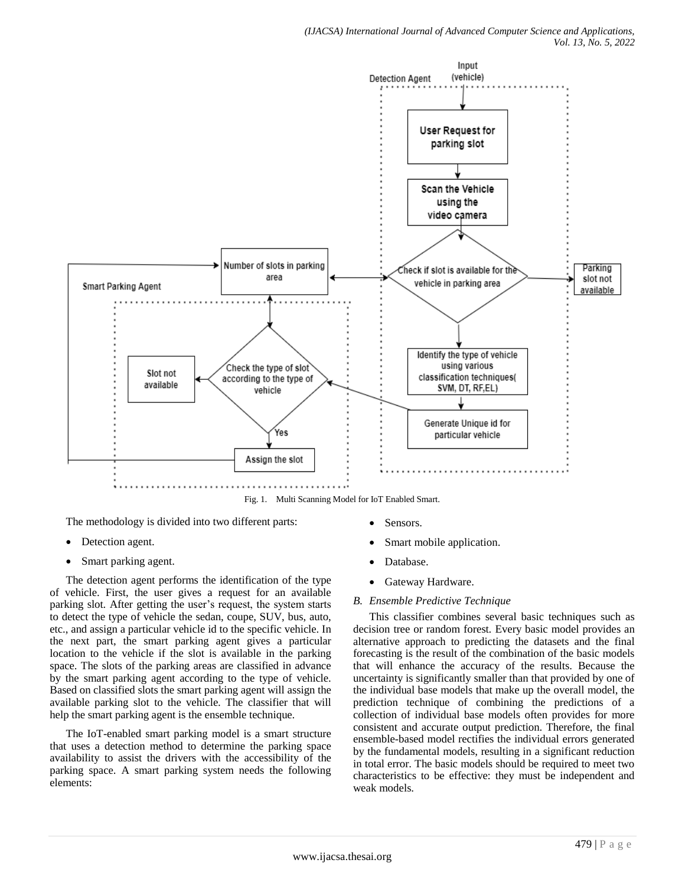

Fig. 1. Multi Scanning Model for IoT Enabled Smart.

The methodology is divided into two different parts:

- Detection agent.
- Smart parking agent.

The detection agent performs the identification of the type of vehicle. First, the user gives a request for an available parking slot. After getting the user's request, the system starts to detect the type of vehicle the sedan, coupe, SUV, bus, auto, etc., and assign a particular vehicle id to the specific vehicle. In the next part, the smart parking agent gives a particular location to the vehicle if the slot is available in the parking space. The slots of the parking areas are classified in advance by the smart parking agent according to the type of vehicle. Based on classified slots the smart parking agent will assign the available parking slot to the vehicle. The classifier that will help the smart parking agent is the ensemble technique.

The IoT-enabled smart parking model is a smart structure that uses a detection method to determine the parking space availability to assist the drivers with the accessibility of the parking space. A smart parking system needs the following elements:

- Sensors.
- Smart mobile application.
- Database.
- Gateway Hardware.
- *B. Ensemble Predictive Technique*

This classifier combines several basic techniques such as decision tree or random forest. Every basic model provides an alternative approach to predicting the datasets and the final forecasting is the result of the combination of the basic models that will enhance the accuracy of the results. Because the uncertainty is significantly smaller than that provided by one of the individual base models that make up the overall model, the prediction technique of combining the predictions of a collection of individual base models often provides for more consistent and accurate output prediction. Therefore, the final ensemble-based model rectifies the individual errors generated by the fundamental models, resulting in a significant reduction in total error. The basic models should be required to meet two characteristics to be effective: they must be independent and weak models.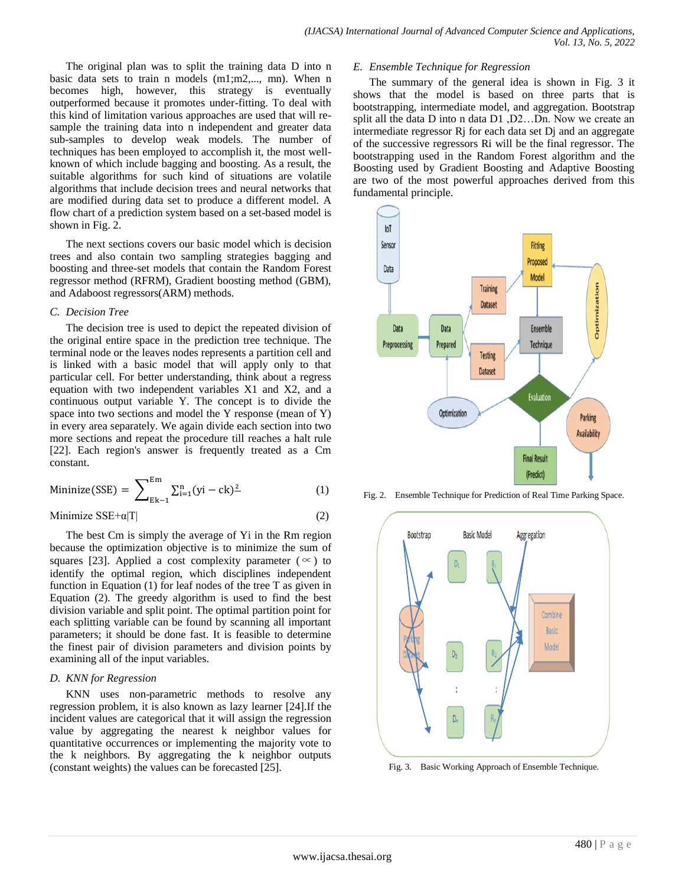The original plan was to split the training data D into n basic data sets to train n models (m1;m2,..., mn). When n becomes high, however, this strategy is eventually outperformed because it promotes under-fitting. To deal with this kind of limitation various approaches are used that will resample the training data into n independent and greater data sub-samples to develop weak models. The number of techniques has been employed to accomplish it, the most wellknown of which include bagging and boosting. As a result, the suitable algorithms for such kind of situations are volatile algorithms that include decision trees and neural networks that are modified during data set to produce a different model. A flow chart of a prediction system based on a set-based model is shown in Fig. 2.

The next sections covers our basic model which is decision trees and also contain two sampling strategies bagging and boosting and three-set models that contain the Random Forest regressor method (RFRM), Gradient boosting method (GBM), and Adaboost regressors(ARM) methods.

#### *C. Decision Tree*

The decision tree is used to depict the repeated division of the original entire space in the prediction tree technique. The terminal node or the leaves nodes represents a partition cell and is linked with a basic model that will apply only to that particular cell. For better understanding, think about a regress equation with two independent variables X1 and X2, and a continuous output variable Y. The concept is to divide the space into two sections and model the Y response (mean of Y) in every area separately. We again divide each section into two more sections and repeat the procedure till reaches a halt rule [22]. Each region's answer is frequently treated as a Cm constant.

Minimize(SSE) = 
$$
\sum_{E_{k-1}}^{E_{m}} \sum_{i=1}^{n} (yi - ck)^{\frac{2}{n}}
$$
 (1)

$$
Minimize SSE+a|T|
$$
 (2)

The best Cm is simply the average of Yi in the Rm region because the optimization objective is to minimize the sum of squares [23]. Applied a cost complexity parameter ( $\infty$ ) to identify the optimal region, which disciplines independent function in Equation (1) for leaf nodes of the tree T as given in Equation (2). The greedy algorithm is used to find the best division variable and split point. The optimal partition point for each splitting variable can be found by scanning all important parameters; it should be done fast. It is feasible to determine the finest pair of division parameters and division points by examining all of the input variables.

# *D. KNN for Regression*

KNN uses non-parametric methods to resolve any regression problem, it is also known as lazy learner [24].If the incident values are categorical that it will assign the regression value by aggregating the nearest k neighbor values for quantitative occurrences or implementing the majority vote to the k neighbors. By aggregating the k neighbor outputs (constant weights) the values can be forecasted [25].

#### *E. Ensemble Technique for Regression*

The summary of the general idea is shown in Fig. 3 it shows that the model is based on three parts that is bootstrapping, intermediate model, and aggregation. Bootstrap split all the data D into n data D1 ,D2…Dn. Now we create an intermediate regressor Rj for each data set Dj and an aggregate of the successive regressors Ri will be the final regressor. The bootstrapping used in the Random Forest algorithm and the Boosting used by Gradient Boosting and Adaptive Boosting are two of the most powerful approaches derived from this fundamental principle.



Fig. 2. Ensemble Technique for Prediction of Real Time Parking Space.



Fig. 3. Basic Working Approach of Ensemble Technique.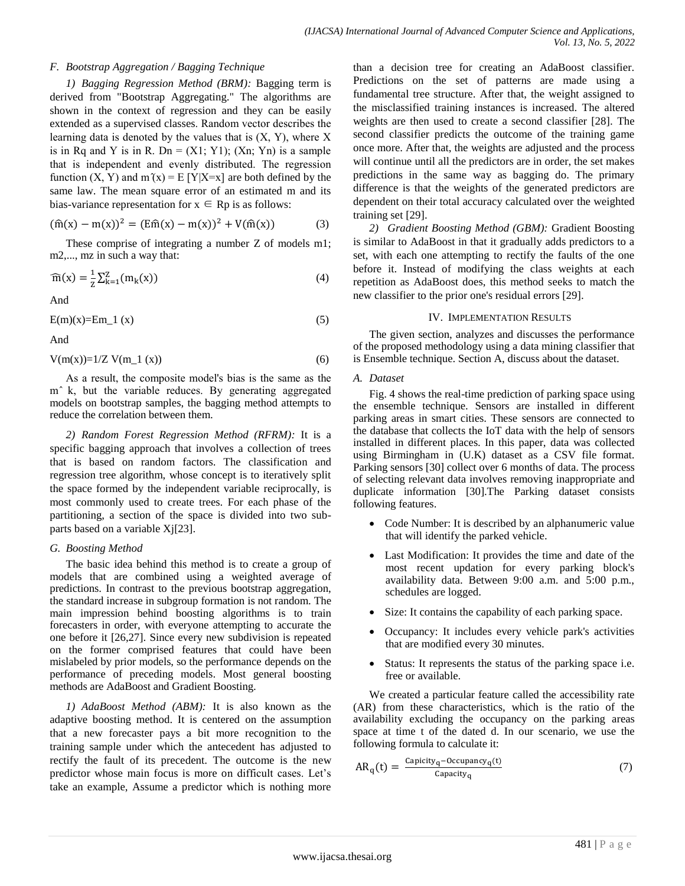# *F. Bootstrap Aggregation / Bagging Technique*

*1) Bagging Regression Method (BRM):* Bagging term is derived from "Bootstrap Aggregating." The algorithms are shown in the context of regression and they can be easily extended as a supervised classes. Random vector describes the learning data is denoted by the values that is  $(X, Y)$ , where X is in Rq and Y is in R. Dn =  $(X1; Y1)$ ;  $(Xn; Yn)$  is a sample that is independent and evenly distributed. The regression function  $(X, Y)$  and  $m'(x) = E[Y|X=x]$  are both defined by the same law. The mean square error of an estimated m and its bias-variance representation for  $x \in Rp$  is as follows:

$$
(\hat{m}(x) - m(x))^2 = (E\hat{m}(x) - m(x))^2 + V(\hat{m}(x))
$$
 (3)

These comprise of integrating a number Z of models m1; m2,..., mz in such a way that:

$$
\widehat{m}(x) = \frac{1}{z} \sum_{k=1}^{z} (m_k(x))
$$
\n(4)

And

$$
E(m)(x)=Em_1(x) \tag{5}
$$

And

$$
V(m(x)) = 1/Z V(m_1(x))
$$
\n(6)

As a result, the composite model's bias is the same as the m<sup>2</sup> k, but the variable reduces. By generating aggregated models on bootstrap samples, the bagging method attempts to reduce the correlation between them.

*2) Random Forest Regression Method (RFRM):* It is a specific bagging approach that involves a collection of trees that is based on random factors. The classification and regression tree algorithm, whose concept is to iteratively split the space formed by the independent variable reciprocally, is most commonly used to create trees. For each phase of the partitioning, a section of the space is divided into two subparts based on a variable Xj[23].

# *G. Boosting Method*

The basic idea behind this method is to create a group of models that are combined using a weighted average of predictions. In contrast to the previous bootstrap aggregation, the standard increase in subgroup formation is not random. The main impression behind boosting algorithms is to train forecasters in order, with everyone attempting to accurate the one before it [26,27]. Since every new subdivision is repeated on the former comprised features that could have been mislabeled by prior models, so the performance depends on the performance of preceding models. Most general boosting methods are AdaBoost and Gradient Boosting.

*1) AdaBoost Method (ABM):* It is also known as the adaptive boosting method. It is centered on the assumption that a new forecaster pays a bit more recognition to the training sample under which the antecedent has adjusted to rectify the fault of its precedent. The outcome is the new predictor whose main focus is more on difficult cases. Let's take an example, Assume a predictor which is nothing more than a decision tree for creating an AdaBoost classifier. Predictions on the set of patterns are made using a fundamental tree structure. After that, the weight assigned to the misclassified training instances is increased. The altered weights are then used to create a second classifier [28]. The second classifier predicts the outcome of the training game once more. After that, the weights are adjusted and the process will continue until all the predictors are in order, the set makes predictions in the same way as bagging do. The primary difference is that the weights of the generated predictors are dependent on their total accuracy calculated over the weighted training set [29].

*2) Gradient Boosting Method (GBM):* Gradient Boosting is similar to AdaBoost in that it gradually adds predictors to a set, with each one attempting to rectify the faults of the one before it. Instead of modifying the class weights at each repetition as AdaBoost does, this method seeks to match the new classifier to the prior one's residual errors [29].

#### IV. IMPLEMENTATION RESULTS

The given section, analyzes and discusses the performance of the proposed methodology using a data mining classifier that is Ensemble technique. Section A, discuss about the dataset.

# *A. Dataset*

Fig. 4 shows the real-time prediction of parking space using the ensemble technique. Sensors are installed in different parking areas in smart cities. These sensors are connected to the database that collects the IoT data with the help of sensors installed in different places. In this paper, data was collected using Birmingham in (U.K) dataset as a CSV file format. Parking sensors [30] collect over 6 months of data. The process of selecting relevant data involves removing inappropriate and duplicate information [30].The Parking dataset consists following features.

- Code Number: It is described by an alphanumeric value that will identify the parked vehicle.
- Last Modification: It provides the time and date of the most recent updation for every parking block's availability data. Between 9:00 a.m. and 5:00 p.m., schedules are logged.
- Size: It contains the capability of each parking space.
- Occupancy: It includes every vehicle park's activities that are modified every 30 minutes.
- Status: It represents the status of the parking space i.e. free or available.

We created a particular feature called the accessibility rate (AR) from these characteristics, which is the ratio of the availability excluding the occupancy on the parking areas space at time t of the dated d. In our scenario, we use the following formula to calculate it:

$$
AR_q(t) = \frac{Capicity_q - Occupancy_q(t)}{Capacity_q}
$$
 (7)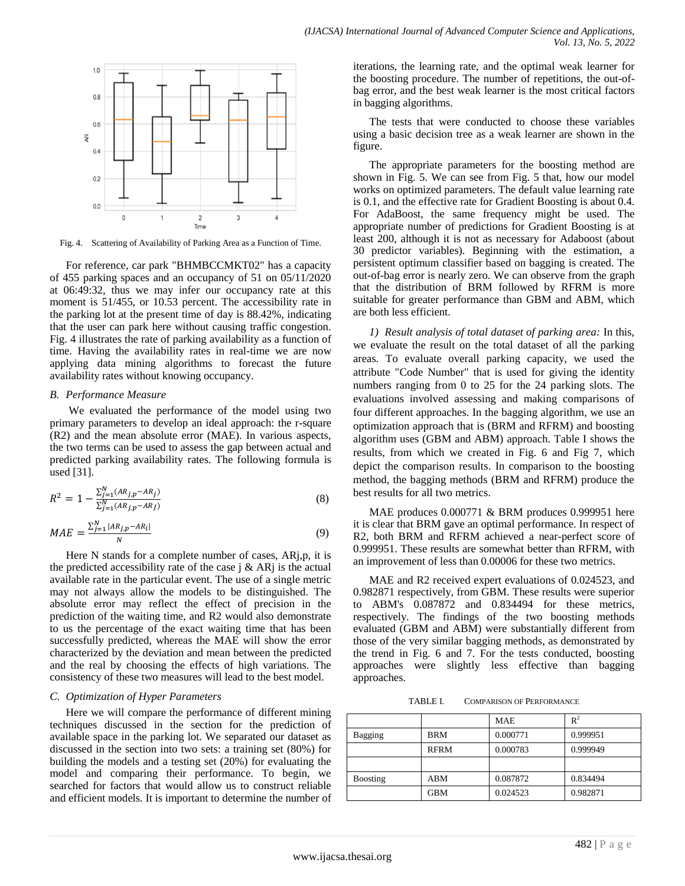

Fig. 4. Scattering of Availability of Parking Area as a Function of Time.

For reference, car park "BHMBCCMKT02" has a capacity of 455 parking spaces and an occupancy of 51 on 05/11/2020 at 06:49:32, thus we may infer our occupancy rate at this moment is 51/455, or 10.53 percent. The accessibility rate in the parking lot at the present time of day is 88.42%, indicating that the user can park here without causing traffic congestion. Fig. 4 illustrates the rate of parking availability as a function of time. Having the availability rates in real-time we are now applying data mining algorithms to forecast the future availability rates without knowing occupancy.

#### *B. Performance Measure*

We evaluated the performance of the model using two primary parameters to develop an ideal approach: the r-square (R2) and the mean absolute error (MAE). In various aspects, the two terms can be used to assess the gap between actual and predicted parking availability rates. The following formula is used [31].

$$
R^{2} = 1 - \frac{\sum_{j=1}^{N} (AR_{j,p} - AR_{j})}{\sum_{j=1}^{N} (AR_{j,p} - AR_{j})}
$$
(8)

$$
MAE = \frac{\sum_{j=1}^{N} |AR_{j,p} - AR_i|}{N}
$$
\n<sup>(9)</sup>

Here N stands for a complete number of cases, ARj,p, it is the predicted accessibility rate of the case  $\hat{i} \&$  AR $\hat{j}$  is the actual available rate in the particular event. The use of a single metric may not always allow the models to be distinguished. The absolute error may reflect the effect of precision in the prediction of the waiting time, and R2 would also demonstrate to us the percentage of the exact waiting time that has been successfully predicted, whereas the MAE will show the error characterized by the deviation and mean between the predicted and the real by choosing the effects of high variations. The consistency of these two measures will lead to the best model.

#### *C. Optimization of Hyper Parameters*

Here we will compare the performance of different mining techniques discussed in the section for the prediction of available space in the parking lot. We separated our dataset as discussed in the section into two sets: a training set (80%) for building the models and a testing set (20%) for evaluating the model and comparing their performance. To begin, we searched for factors that would allow us to construct reliable and efficient models. It is important to determine the number of iterations, the learning rate, and the optimal weak learner for the boosting procedure. The number of repetitions, the out-ofbag error, and the best weak learner is the most critical factors in bagging algorithms.

The tests that were conducted to choose these variables using a basic decision tree as a weak learner are shown in the figure.

The appropriate parameters for the boosting method are shown in Fig. 5. We can see from Fig. 5 that, how our model works on optimized parameters. The default value learning rate is 0.1, and the effective rate for Gradient Boosting is about 0.4. For AdaBoost, the same frequency might be used. The appropriate number of predictions for Gradient Boosting is at least 200, although it is not as necessary for Adaboost (about 30 predictor variables). Beginning with the estimation, a persistent optimum classifier based on bagging is created. The out-of-bag error is nearly zero. We can observe from the graph that the distribution of BRM followed by RFRM is more suitable for greater performance than GBM and ABM, which are both less efficient.

*1) Result analysis of total dataset of parking area:* In this, we evaluate the result on the total dataset of all the parking areas. To evaluate overall parking capacity, we used the attribute "Code Number" that is used for giving the identity numbers ranging from 0 to 25 for the 24 parking slots. The evaluations involved assessing and making comparisons of four different approaches. In the bagging algorithm, we use an optimization approach that is (BRM and RFRM) and boosting algorithm uses (GBM and ABM) approach. Table I shows the results, from which we created in Fig. 6 and Fig 7, which depict the comparison results. In comparison to the boosting method, the bagging methods (BRM and RFRM) produce the best results for all two metrics.

MAE produces 0.000771 & BRM produces 0.999951 here it is clear that BRM gave an optimal performance. In respect of R2, both BRM and RFRM achieved a near-perfect score of 0.999951. These results are somewhat better than RFRM, with an improvement of less than 0.00006 for these two metrics.

MAE and R2 received expert evaluations of 0.024523, and 0.982871 respectively, from GBM. These results were superior to ABM's 0.087872 and 0.834494 for these metrics, respectively. The findings of the two boosting methods evaluated (GBM and ABM) were substantially different from those of the very similar bagging methods, as demonstrated by the trend in Fig. 6 and 7. For the tests conducted, boosting approaches were slightly less effective than bagging approaches.

TABLE I. COMPARISON OF PERFORMANCE

|                 |             | <b>MAE</b> | $R^2$    |
|-----------------|-------------|------------|----------|
| Bagging         | <b>BRM</b>  | 0.000771   | 0.999951 |
|                 | <b>RFRM</b> | 0.000783   | 0.999949 |
|                 |             |            |          |
| <b>Boosting</b> | ABM         | 0.087872   | 0.834494 |
|                 | <b>GBM</b>  | 0.024523   | 0.982871 |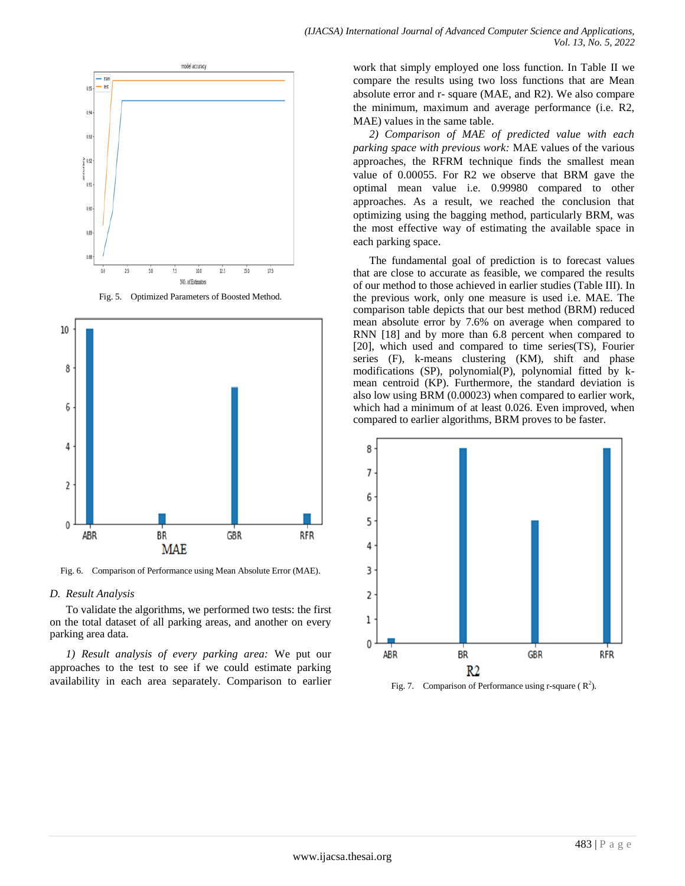

Fig. 5. Optimized Parameters of Boosted Method.



Fig. 6. Comparison of Performance using Mean Absolute Error (MAE).

#### *D. Result Analysis*

To validate the algorithms, we performed two tests: the first on the total dataset of all parking areas, and another on every parking area data.

*1) Result analysis of every parking area:* We put our approaches to the test to see if we could estimate parking availability in each area separately. Comparison to earlier work that simply employed one loss function. In Table II we compare the results using two loss functions that are Mean absolute error and r- square (MAE, and R2). We also compare the minimum, maximum and average performance (i.e. R2, MAE) values in the same table.

*2) Comparison of MAE of predicted value with each parking space with previous work:* MAE values of the various approaches, the RFRM technique finds the smallest mean value of 0.00055. For R2 we observe that BRM gave the optimal mean value i.e. 0.99980 compared to other approaches. As a result, we reached the conclusion that optimizing using the bagging method, particularly BRM, was the most effective way of estimating the available space in each parking space.

The fundamental goal of prediction is to forecast values that are close to accurate as feasible, we compared the results of our method to those achieved in earlier studies (Table III). In the previous work, only one measure is used i.e. MAE. The comparison table depicts that our best method (BRM) reduced mean absolute error by 7.6% on average when compared to RNN [18] and by more than 6.8 percent when compared to [20], which used and compared to time series(TS), Fourier series (F), k-means clustering (KM), shift and phase modifications (SP), polynomial(P), polynomial fitted by kmean centroid (KP). Furthermore, the standard deviation is also low using BRM (0.00023) when compared to earlier work, which had a minimum of at least 0.026. Even improved, when compared to earlier algorithms, BRM proves to be faster.



Fig. 7. Comparison of Performance using r-square  $(R^2)$ .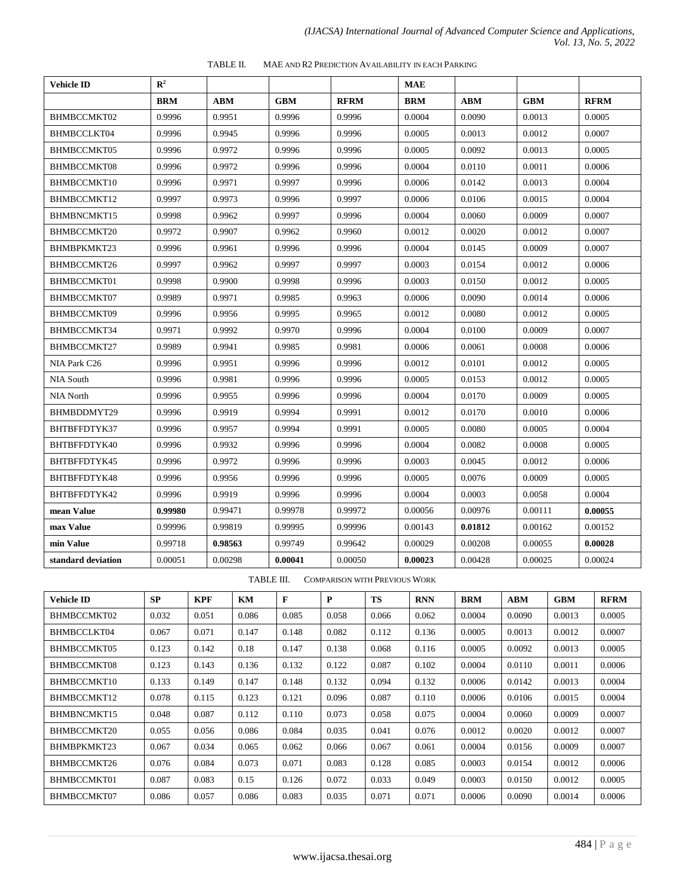| TABLE II. | MAE AND R2 PREDICTION AVAILABILITY IN EACH PARKING |
|-----------|----------------------------------------------------|
|-----------|----------------------------------------------------|

| <b>Vehicle ID</b>  | $\mathbb{R}^2$ |            |            |             | <b>MAE</b> |            |            |             |
|--------------------|----------------|------------|------------|-------------|------------|------------|------------|-------------|
|                    | <b>BRM</b>     | <b>ABM</b> | <b>GBM</b> | <b>RFRM</b> | <b>BRM</b> | <b>ABM</b> | <b>GBM</b> | <b>RFRM</b> |
| BHMBCCMKT02        | 0.9996         | 0.9951     | 0.9996     | 0.9996      | 0.0004     | 0.0090     | 0.0013     | 0.0005      |
| BHMBCCLKT04        | 0.9996         | 0.9945     | 0.9996     | 0.9996      | 0.0005     | 0.0013     | 0.0012     | 0.0007      |
| BHMBCCMKT05        | 0.9996         | 0.9972     | 0.9996     | 0.9996      | 0.0005     | 0.0092     | 0.0013     | 0.0005      |
| BHMBCCMKT08        | 0.9996         | 0.9972     | 0.9996     | 0.9996      | 0.0004     | 0.0110     | 0.0011     | 0.0006      |
| BHMBCCMKT10        | 0.9996         | 0.9971     | 0.9997     | 0.9996      | 0.0006     | 0.0142     | 0.0013     | 0.0004      |
| BHMBCCMKT12        | 0.9997         | 0.9973     | 0.9996     | 0.9997      | 0.0006     | 0.0106     | 0.0015     | 0.0004      |
| BHMBNCMKT15        | 0.9998         | 0.9962     | 0.9997     | 0.9996      | 0.0004     | 0.0060     | 0.0009     | 0.0007      |
| BHMBCCMKT20        | 0.9972         | 0.9907     | 0.9962     | 0.9960      | 0.0012     | 0.0020     | 0.0012     | 0.0007      |
| BHMBPKMKT23        | 0.9996         | 0.9961     | 0.9996     | 0.9996      | 0.0004     | 0.0145     | 0.0009     | 0.0007      |
| BHMBCCMKT26        | 0.9997         | 0.9962     | 0.9997     | 0.9997      | 0.0003     | 0.0154     | 0.0012     | 0.0006      |
| BHMBCCMKT01        | 0.9998         | 0.9900     | 0.9998     | 0.9996      | 0.0003     | 0.0150     | 0.0012     | 0.0005      |
| BHMBCCMKT07        | 0.9989         | 0.9971     | 0.9985     | 0.9963      | 0.0006     | 0.0090     | 0.0014     | 0.0006      |
| BHMBCCMKT09        | 0.9996         | 0.9956     | 0.9995     | 0.9965      | 0.0012     | 0.0080     | 0.0012     | 0.0005      |
| BHMBCCMKT34        | 0.9971         | 0.9992     | 0.9970     | 0.9996      | 0.0004     | 0.0100     | 0.0009     | 0.0007      |
| BHMBCCMKT27        | 0.9989         | 0.9941     | 0.9985     | 0.9981      | 0.0006     | 0.0061     | 0.0008     | 0.0006      |
| NIA Park C26       | 0.9996         | 0.9951     | 0.9996     | 0.9996      | 0.0012     | 0.0101     | 0.0012     | 0.0005      |
| <b>NIA South</b>   | 0.9996         | 0.9981     | 0.9996     | 0.9996      | 0.0005     | 0.0153     | 0.0012     | 0.0005      |
| <b>NIA North</b>   | 0.9996         | 0.9955     | 0.9996     | 0.9996      | 0.0004     | 0.0170     | 0.0009     | 0.0005      |
| BHMBDDMYT29        | 0.9996         | 0.9919     | 0.9994     | 0.9991      | 0.0012     | 0.0170     | 0.0010     | 0.0006      |
| BHTBFFDTYK37       | 0.9996         | 0.9957     | 0.9994     | 0.9991      | 0.0005     | 0.0080     | 0.0005     | 0.0004      |
| BHTBFFDTYK40       | 0.9996         | 0.9932     | 0.9996     | 0.9996      | 0.0004     | 0.0082     | 0.0008     | 0.0005      |
| BHTBFFDTYK45       | 0.9996         | 0.9972     | 0.9996     | 0.9996      | 0.0003     | 0.0045     | 0.0012     | 0.0006      |
| BHTBFFDTYK48       | 0.9996         | 0.9956     | 0.9996     | 0.9996      | 0.0005     | 0.0076     | 0.0009     | 0.0005      |
| BHTBFFDTYK42       | 0.9996         | 0.9919     | 0.9996     | 0.9996      | 0.0004     | 0.0003     | 0.0058     | 0.0004      |
| mean Value         | 0.99980        | 0.99471    | 0.99978    | 0.99972     | 0.00056    | 0.00976    | 0.00111    | 0.00055     |
| max Value          | 0.99996        | 0.99819    | 0.99995    | 0.99996     | 0.00143    | 0.01812    | 0.00162    | 0.00152     |
| min Value          | 0.99718        | 0.98563    | 0.99749    | 0.99642     | 0.00029    | 0.00208    | 0.00055    | 0.00028     |
| standard deviation | 0.00051        | 0.00298    | 0.00041    | 0.00050     | 0.00023    | 0.00428    | 0.00025    | 0.00024     |

TABLE III. COMPARISON WITH PREVIOUS WORK

| <b>Vehicle ID</b> | <b>SP</b> | <b>KPF</b> | KM    | F     | P     | <b>TS</b> | <b>RNN</b> | <b>BRM</b> | <b>ABM</b> | <b>GBM</b> | <b>RFRM</b> |
|-------------------|-----------|------------|-------|-------|-------|-----------|------------|------------|------------|------------|-------------|
| BHMBCCMKT02       | 0.032     | 0.051      | 0.086 | 0.085 | 0.058 | 0.066     | 0.062      | 0.0004     | 0.0090     | 0.0013     | 0.0005      |
| BHMBCCLKT04       | 0.067     | 0.071      | 0.147 | 0.148 | 0.082 | 0.112     | 0.136      | 0.0005     | 0.0013     | 0.0012     | 0.0007      |
| BHMBCCMKT05       | 0.123     | 0.142      | 0.18  | 0.147 | 0.138 | 0.068     | 0.116      | 0.0005     | 0.0092     | 0.0013     | 0.0005      |
| BHMBCCMKT08       | 0.123     | 0.143      | 0.136 | 0.132 | 0.122 | 0.087     | 0.102      | 0.0004     | 0.0110     | 0.0011     | 0.0006      |
| BHMBCCMKT10       | 0.133     | 0.149      | 0.147 | 0.148 | 0.132 | 0.094     | 0.132      | 0.0006     | 0.0142     | 0.0013     | 0.0004      |
| BHMBCCMKT12       | 0.078     | 0.115      | 0.123 | 0.121 | 0.096 | 0.087     | 0.110      | 0.0006     | 0.0106     | 0.0015     | 0.0004      |
| BHMBNCMKT15       | 0.048     | 0.087      | 0.112 | 0.110 | 0.073 | 0.058     | 0.075      | 0.0004     | 0.0060     | 0.0009     | 0.0007      |
| BHMBCCMKT20       | 0.055     | 0.056      | 0.086 | 0.084 | 0.035 | 0.041     | 0.076      | 0.0012     | 0.0020     | 0.0012     | 0.0007      |
| BHMBPKMKT23       | 0.067     | 0.034      | 0.065 | 0.062 | 0.066 | 0.067     | 0.061      | 0.0004     | 0.0156     | 0.0009     | 0.0007      |
| BHMBCCMKT26       | 0.076     | 0.084      | 0.073 | 0.071 | 0.083 | 0.128     | 0.085      | 0.0003     | 0.0154     | 0.0012     | 0.0006      |
| BHMBCCMKT01       | 0.087     | 0.083      | 0.15  | 0.126 | 0.072 | 0.033     | 0.049      | 0.0003     | 0.0150     | 0.0012     | 0.0005      |
| BHMBCCMKT07       | 0.086     | 0.057      | 0.086 | 0.083 | 0.035 | 0.071     | 0.071      | 0.0006     | 0.0090     | 0.0014     | 0.0006      |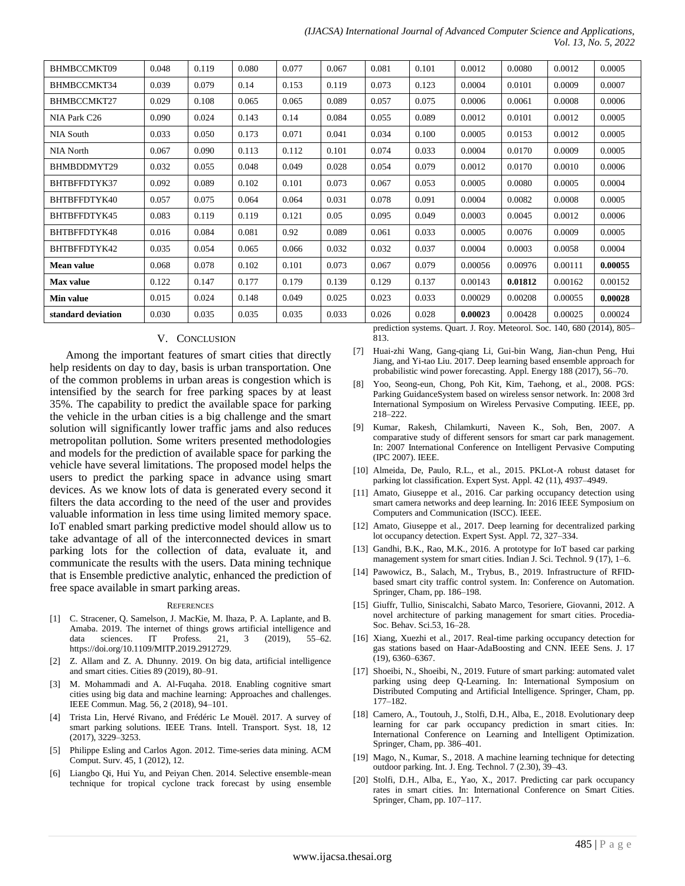| (IJACSA) International Journal of Advanced Computer Science and Applications, |  |  |  |                             |
|-------------------------------------------------------------------------------|--|--|--|-----------------------------|
|                                                                               |  |  |  | <i>Vol. 13, No. 5, 2022</i> |

| BHMBCCMKT09        | 0.048 | 0.119 | 0.080 | 0.077 | 0.067 | 0.081 | 0.101 | 0.0012  | 0.0080  | 0.0012  | 0.0005  |
|--------------------|-------|-------|-------|-------|-------|-------|-------|---------|---------|---------|---------|
| BHMBCCMKT34        | 0.039 | 0.079 | 0.14  | 0.153 | 0.119 | 0.073 | 0.123 | 0.0004  | 0.0101  | 0.0009  | 0.0007  |
| BHMBCCMKT27        | 0.029 | 0.108 | 0.065 | 0.065 | 0.089 | 0.057 | 0.075 | 0.0006  | 0.0061  | 0.0008  | 0.0006  |
| NIA Park C26       | 0.090 | 0.024 | 0.143 | 0.14  | 0.084 | 0.055 | 0.089 | 0.0012  | 0.0101  | 0.0012  | 0.0005  |
| NIA South          | 0.033 | 0.050 | 0.173 | 0.071 | 0.041 | 0.034 | 0.100 | 0.0005  | 0.0153  | 0.0012  | 0.0005  |
| NIA North          | 0.067 | 0.090 | 0.113 | 0.112 | 0.101 | 0.074 | 0.033 | 0.0004  | 0.0170  | 0.0009  | 0.0005  |
| BHMBDDMYT29        | 0.032 | 0.055 | 0.048 | 0.049 | 0.028 | 0.054 | 0.079 | 0.0012  | 0.0170  | 0.0010  | 0.0006  |
| BHTBFFDTYK37       | 0.092 | 0.089 | 0.102 | 0.101 | 0.073 | 0.067 | 0.053 | 0.0005  | 0.0080  | 0.0005  | 0.0004  |
| BHTBFFDTYK40       | 0.057 | 0.075 | 0.064 | 0.064 | 0.031 | 0.078 | 0.091 | 0.0004  | 0.0082  | 0.0008  | 0.0005  |
| BHTBFFDTYK45       | 0.083 | 0.119 | 0.119 | 0.121 | 0.05  | 0.095 | 0.049 | 0.0003  | 0.0045  | 0.0012  | 0.0006  |
| BHTBFFDTYK48       | 0.016 | 0.084 | 0.081 | 0.92  | 0.089 | 0.061 | 0.033 | 0.0005  | 0.0076  | 0.0009  | 0.0005  |
| BHTBFFDTYK42       | 0.035 | 0.054 | 0.065 | 0.066 | 0.032 | 0.032 | 0.037 | 0.0004  | 0.0003  | 0.0058  | 0.0004  |
| <b>Mean value</b>  | 0.068 | 0.078 | 0.102 | 0.101 | 0.073 | 0.067 | 0.079 | 0.00056 | 0.00976 | 0.00111 | 0.00055 |
| <b>Max</b> value   | 0.122 | 0.147 | 0.177 | 0.179 | 0.139 | 0.129 | 0.137 | 0.00143 | 0.01812 | 0.00162 | 0.00152 |
| Min value          | 0.015 | 0.024 | 0.148 | 0.049 | 0.025 | 0.023 | 0.033 | 0.00029 | 0.00208 | 0.00055 | 0.00028 |
| standard deviation | 0.030 | 0.035 | 0.035 | 0.035 | 0.033 | 0.026 | 0.028 | 0.00023 | 0.00428 | 0.00025 | 0.00024 |

#### V. CONCLUSION

Among the important features of smart cities that directly help residents on day to day, basis is urban transportation. One of the common problems in urban areas is congestion which is intensified by the search for free parking spaces by at least 35%. The capability to predict the available space for parking the vehicle in the urban cities is a big challenge and the smart solution will significantly lower traffic jams and also reduces metropolitan pollution. Some writers presented methodologies and models for the prediction of available space for parking the vehicle have several limitations. The proposed model helps the users to predict the parking space in advance using smart devices. As we know lots of data is generated every second it filters the data according to the need of the user and provides valuable information in less time using limited memory space. IoT enabled smart parking predictive model should allow us to take advantage of all of the interconnected devices in smart parking lots for the collection of data, evaluate it, and communicate the results with the users. Data mining technique that is Ensemble predictive analytic, enhanced the prediction of free space available in smart parking areas.

#### **REFERENCES**

- [1] C. Stracener, Q. Samelson, J. MacKie, M. Ihaza, P. A. Laplante, and B. Amaba. 2019. The internet of things grows artificial intelligence and data sciences. IT Profess. 21, 3 (2019), 55–62. https://doi.org/10.1109/MITP.2019.2912729.
- [2] Z. Allam and Z. A. Dhunny. 2019. On big data, artificial intelligence and smart cities. Cities 89 (2019), 80–91.
- [3] M. Mohammadi and A. Al-Fuqaha. 2018. Enabling cognitive smart cities using big data and machine learning: Approaches and challenges. IEEE Commun. Mag. 56, 2 (2018), 94–101.
- [4] Trista Lin, Hervé Rivano, and Frédéric Le Mouël. 2017. A survey of smart parking solutions. IEEE Trans. Intell. Transport. Syst. 18, 12 (2017), 3229–3253.
- [5] Philippe Esling and Carlos Agon. 2012. Time-series data mining. ACM Comput. Surv. 45, 1 (2012), 12.
- [6] Liangbo Qi, Hui Yu, and Peiyan Chen. 2014. Selective ensemble-mean technique for tropical cyclone track forecast by using ensemble

prediction systems. Quart. J. Roy. Meteorol. Soc. 140, 680 (2014), 805– 813.

- [7] Huai-zhi Wang, Gang-qiang Li, Gui-bin Wang, Jian-chun Peng, Hui Jiang, and Yi-tao Liu. 2017. Deep learning based ensemble approach for probabilistic wind power forecasting. Appl. Energy 188 (2017), 56–70.
- Yoo, Seong-eun, Chong, Poh Kit, Kim, Taehong, et al., 2008. PGS: Parking GuidanceSystem based on wireless sensor network. In: 2008 3rd International Symposium on Wireless Pervasive Computing. IEEE, pp. 218–222.
- [9] Kumar, Rakesh, Chilamkurti, Naveen K., Soh, Ben, 2007. A comparative study of different sensors for smart car park management. In: 2007 International Conference on Intelligent Pervasive Computing (IPC 2007). IEEE.
- [10] Almeida, De, Paulo, R.L., et al., 2015. PKLot-A robust dataset for parking lot classification. Expert Syst. Appl. 42 (11), 4937–4949.
- [11] Amato, Giuseppe et al., 2016. Car parking occupancy detection using smart camera networks and deep learning. In: 2016 IEEE Symposium on Computers and Communication (ISCC). IEEE.
- [12] Amato, Giuseppe et al., 2017. Deep learning for decentralized parking lot occupancy detection. Expert Syst. Appl. 72, 327–334.
- [13] Gandhi, B.K., Rao, M.K., 2016. A prototype for IoT based car parking management system for smart cities. Indian J. Sci. Technol. 9 (17), 1–6.
- [14] Pawowicz, B., Salach, M., Trybus, B., 2019. Infrastructure of RFIDbased smart city traffic control system. In: Conference on Automation. Springer, Cham, pp. 186–198.
- [15] Giuffr, Tullio, Siniscalchi, Sabato Marco, Tesoriere, Giovanni, 2012. A novel architecture of parking management for smart cities. Procedia-Soc. Behav. Sci.53, 16–28.
- [16] Xiang, Xuezhi et al., 2017. Real-time parking occupancy detection for gas stations based on Haar-AdaBoosting and CNN. IEEE Sens. J. 17 (19), 6360–6367.
- [17] Shoeibi, N., Shoeibi, N., 2019. Future of smart parking: automated valet parking using deep Q-Learning. In: International Symposium on Distributed Computing and Artificial Intelligence. Springer, Cham, pp. 177–182.
- [18] Camero, A., Toutouh, J., Stolfi, D.H., Alba, E., 2018. Evolutionary deep learning for car park occupancy prediction in smart cities. In: International Conference on Learning and Intelligent Optimization. Springer, Cham, pp. 386–401.
- [19] Mago, N., Kumar, S., 2018. A machine learning technique for detecting outdoor parking. Int. J. Eng. Technol. 7 (2.30), 39–43.
- [20] Stolfi, D.H., Alba, E., Yao, X., 2017. Predicting car park occupancy rates in smart cities. In: International Conference on Smart Cities. Springer, Cham, pp. 107–117.